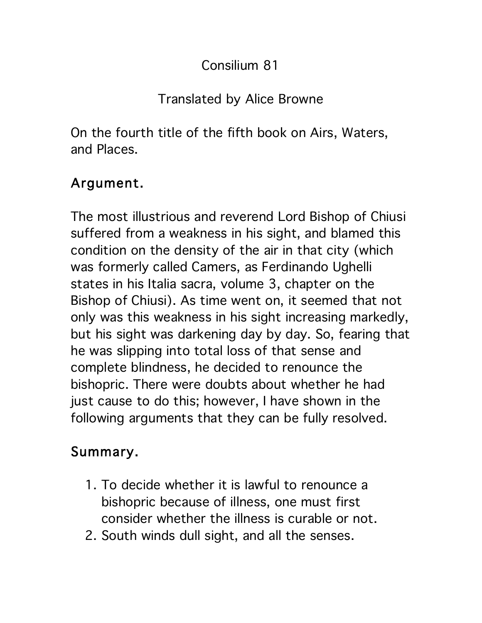## Consilium 81

## Translated by Alice Browne

On the fourth title of the fifth book on Airs, Waters, and Places.

## Argument.

The most illustrious and reverend Lord Bishop of Chiusi suffered from a weakness in his sight, and blamed this condition on the density of the air in that city (which was formerly called Camers, as Ferdinando Ughelli states in his Italia sacra, volume 3, chapter on the Bishop of Chiusi). As time went on, it seemed that not only was this weakness in his sight increasing markedly, but his sight was darkening day by day. So, fearing that he was slipping into total loss of that sense and complete blindness, he decided to renounce the bishopric. There were doubts about whether he had just cause to do this; however, I have shown in the following arguments that they can be fully resolved.

## Summary.

- 1. To decide whether it is lawful to renounce a bishopric because of illness, one must first consider whether the illness is curable or not.
- 2. South winds dull sight, and all the senses.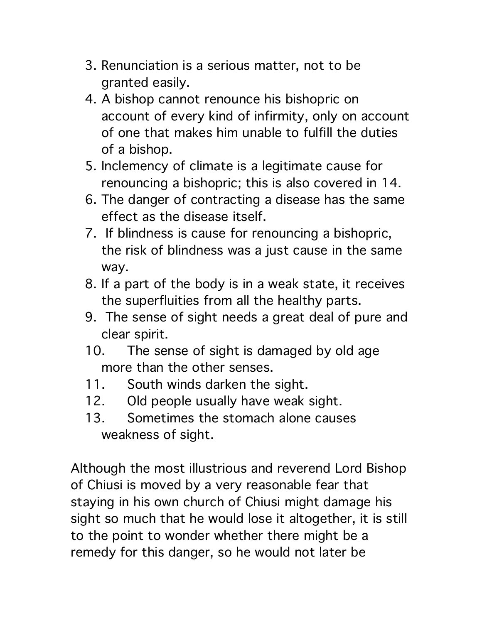- 3. Renunciation is a serious matter, not to be granted easily.
- 4. A bishop cannot renounce his bishopric on account of every kind of infirmity, only on account of one that makes him unable to fulfill the duties of a bishop.
- 5. Inclemency of climate is a legitimate cause for renouncing a bishopric; this is also covered in 14.
- 6. The danger of contracting a disease has the same effect as the disease itself.
- 7. If blindness is cause for renouncing a bishopric, the risk of blindness was a just cause in the same way.
- 8. If a part of the body is in a weak state, it receives the superfluities from all the healthy parts.
- 9. The sense of sight needs a great deal of pure and clear spirit.
- 10. The sense of sight is damaged by old age more than the other senses.
- 11. South winds darken the sight.
- 12. Old people usually have weak sight.
- 13. Sometimes the stomach alone causes weakness of sight.

Although the most illustrious and reverend Lord Bishop of Chiusi is moved by a very reasonable fear that staying in his own church of Chiusi might damage his sight so much that he would lose it altogether, it is still to the point to wonder whether there might be a remedy for this danger, so he would not later be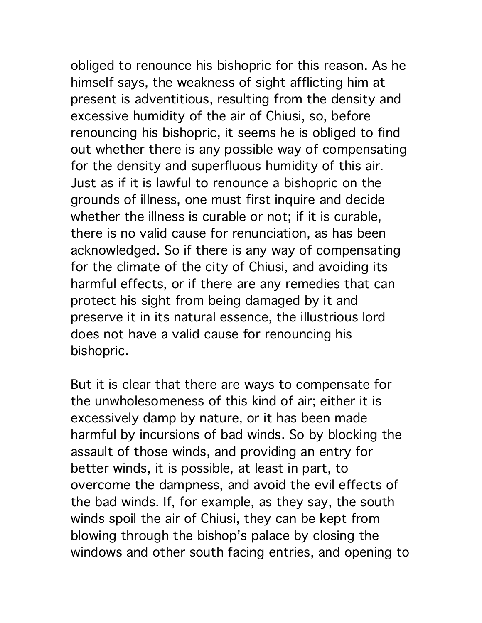obliged to renounce his bishopric for this reason. As he himself says, the weakness of sight afflicting him at present is adventitious, resulting from the density and excessive humidity of the air of Chiusi, so, before renouncing his bishopric, it seems he is obliged to find out whether there is any possible way of compensating for the density and superfluous humidity of this air. Just as if it is lawful to renounce a bishopric on the grounds of illness, one must first inquire and decide whether the illness is curable or not; if it is curable, there is no valid cause for renunciation, as has been acknowledged. So if there is any way of compensating for the climate of the city of Chiusi, and avoiding its harmful effects, or if there are any remedies that can protect his sight from being damaged by it and preserve it in its natural essence, the illustrious lord does not have a valid cause for renouncing his bishopric.

But it is clear that there are ways to compensate for the unwholesomeness of this kind of air; either it is excessively damp by nature, or it has been made harmful by incursions of bad winds. So by blocking the assault of those winds, and providing an entry for better winds, it is possible, at least in part, to overcome the dampness, and avoid the evil effects of the bad winds. If, for example, as they say, the south winds spoil the air of Chiusi, they can be kept from blowing through the bishop's palace by closing the windows and other south facing entries, and opening to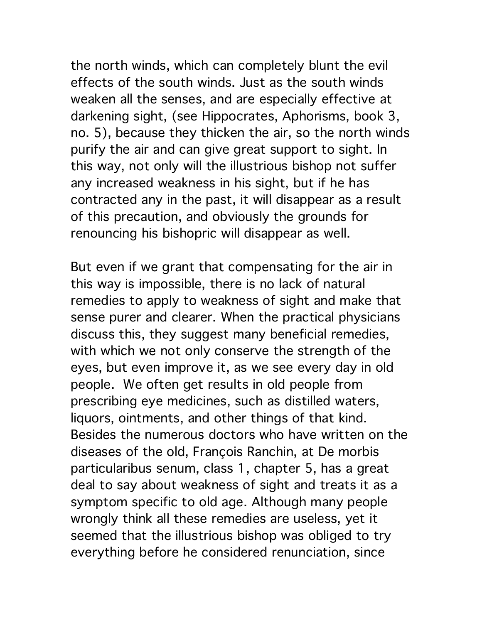the north winds, which can completely blunt the evil effects of the south winds. Just as the south winds weaken all the senses, and are especially effective at darkening sight, (see Hippocrates, Aphorisms, book 3, no. 5), because they thicken the air, so the north winds purify the air and can give great support to sight. In this way, not only will the illustrious bishop not suffer any increased weakness in his sight, but if he has contracted any in the past, it will disappear as a result of this precaution, and obviously the grounds for renouncing his bishopric will disappear as well.

But even if we grant that compensating for the air in this way is impossible, there is no lack of natural remedies to apply to weakness of sight and make that sense purer and clearer. When the practical physicians discuss this, they suggest many beneficial remedies, with which we not only conserve the strength of the eyes, but even improve it, as we see every day in old people. We often get results in old people from prescribing eye medicines, such as distilled waters, liquors, ointments, and other things of that kind. Besides the numerous doctors who have written on the diseases of the old, François Ranchin, at De morbis particularibus senum, class 1, chapter 5, has a great deal to say about weakness of sight and treats it as a symptom specific to old age. Although many people wrongly think all these remedies are useless, yet it seemed that the illustrious bishop was obliged to try everything before he considered renunciation, since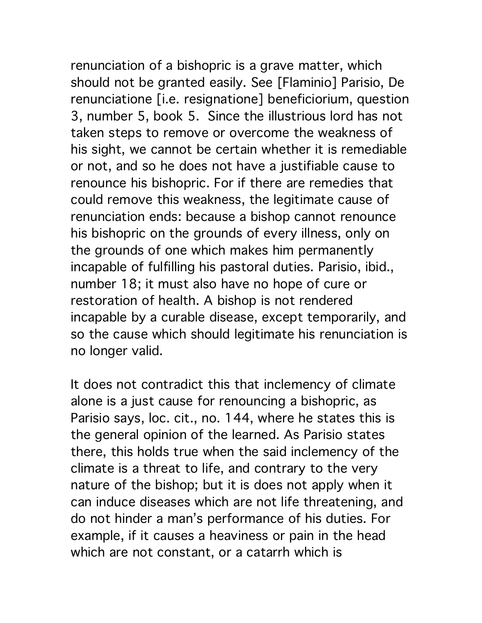renunciation of a bishopric is a grave matter, which should not be granted easily. See [Flaminio] Parisio, De renunciatione [i.e. resignatione] beneficiorium, question 3, number 5, book 5. Since the illustrious lord has not taken steps to remove or overcome the weakness of his sight, we cannot be certain whether it is remediable or not, and so he does not have a justifiable cause to renounce his bishopric. For if there are remedies that could remove this weakness, the legitimate cause of renunciation ends: because a bishop cannot renounce his bishopric on the grounds of every illness, only on the grounds of one which makes him permanently incapable of fulfilling his pastoral duties. Parisio, ibid., number 18; it must also have no hope of cure or restoration of health. A bishop is not rendered incapable by a curable disease, except temporarily, and so the cause which should legitimate his renunciation is no longer valid.

It does not contradict this that inclemency of climate alone is a just cause for renouncing a bishopric, as Parisio says, loc. cit., no. 144, where he states this is the general opinion of the learned. As Parisio states there, this holds true when the said inclemency of the climate is a threat to life, and contrary to the very nature of the bishop; but it is does not apply when it can induce diseases which are not life threatening, and do not hinder a man's performance of his duties. For example, if it causes a heaviness or pain in the head which are not constant, or a catarrh which is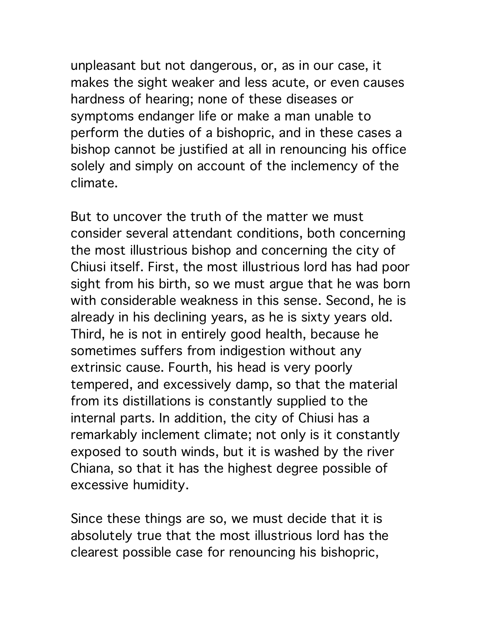unpleasant but not dangerous, or, as in our case, it makes the sight weaker and less acute, or even causes hardness of hearing; none of these diseases or symptoms endanger life or make a man unable to perform the duties of a bishopric, and in these cases a bishop cannot be justified at all in renouncing his office solely and simply on account of the inclemency of the climate.

But to uncover the truth of the matter we must consider several attendant conditions, both concerning the most illustrious bishop and concerning the city of Chiusi itself. First, the most illustrious lord has had poor sight from his birth, so we must argue that he was born with considerable weakness in this sense. Second, he is already in his declining years, as he is sixty years old. Third, he is not in entirely good health, because he sometimes suffers from indigestion without any extrinsic cause. Fourth, his head is very poorly tempered, and excessively damp, so that the material from its distillations is constantly supplied to the internal parts. In addition, the city of Chiusi has a remarkably inclement climate; not only is it constantly exposed to south winds, but it is washed by the river Chiana, so that it has the highest degree possible of excessive humidity.

Since these things are so, we must decide that it is absolutely true that the most illustrious lord has the clearest possible case for renouncing his bishopric,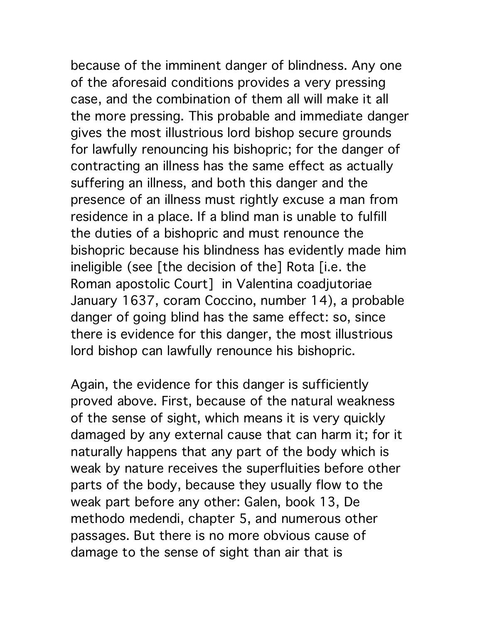because of the imminent danger of blindness. Any one of the aforesaid conditions provides a very pressing case, and the combination of them all will make it all the more pressing. This probable and immediate danger gives the most illustrious lord bishop secure grounds for lawfully renouncing his bishopric; for the danger of contracting an illness has the same effect as actually suffering an illness, and both this danger and the presence of an illness must rightly excuse a man from residence in a place. If a blind man is unable to fulfill the duties of a bishopric and must renounce the bishopric because his blindness has evidently made him ineligible (see [the decision of the] Rota [i.e. the Roman apostolic Court] in Valentina coadjutoriae January 1637, coram Coccino, number 14), a probable danger of going blind has the same effect: so, since there is evidence for this danger, the most illustrious lord bishop can lawfully renounce his bishopric.

Again, the evidence for this danger is sufficiently proved above. First, because of the natural weakness of the sense of sight, which means it is very quickly damaged by any external cause that can harm it; for it naturally happens that any part of the body which is weak by nature receives the superfluities before other parts of the body, because they usually flow to the weak part before any other: Galen, book 13, De methodo medendi, chapter 5, and numerous other passages. But there is no more obvious cause of damage to the sense of sight than air that is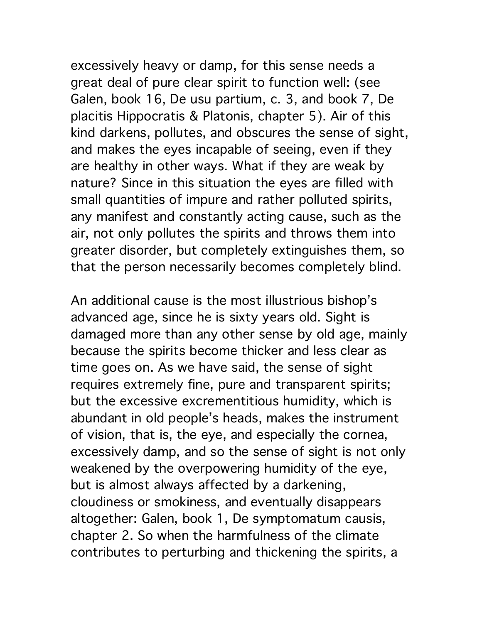excessively heavy or damp, for this sense needs a great deal of pure clear spirit to function well: (see Galen, book 16, De usu partium, c. 3, and book 7, De placitis Hippocratis & Platonis, chapter 5). Air of this kind darkens, pollutes, and obscures the sense of sight, and makes the eyes incapable of seeing, even if they are healthy in other ways. What if they are weak by nature? Since in this situation the eyes are filled with small quantities of impure and rather polluted spirits, any manifest and constantly acting cause, such as the air, not only pollutes the spirits and throws them into greater disorder, but completely extinguishes them, so that the person necessarily becomes completely blind.

An additional cause is the most illustrious bishop's advanced age, since he is sixty years old. Sight is damaged more than any other sense by old age, mainly because the spirits become thicker and less clear as time goes on. As we have said, the sense of sight requires extremely fine, pure and transparent spirits; but the excessive excrementitious humidity, which is abundant in old people's heads, makes the instrument of vision, that is, the eye, and especially the cornea, excessively damp, and so the sense of sight is not only weakened by the overpowering humidity of the eye, but is almost always affected by a darkening, cloudiness or smokiness, and eventually disappears altogether: Galen, book 1, De symptomatum causis, chapter 2. So when the harmfulness of the climate contributes to perturbing and thickening the spirits, a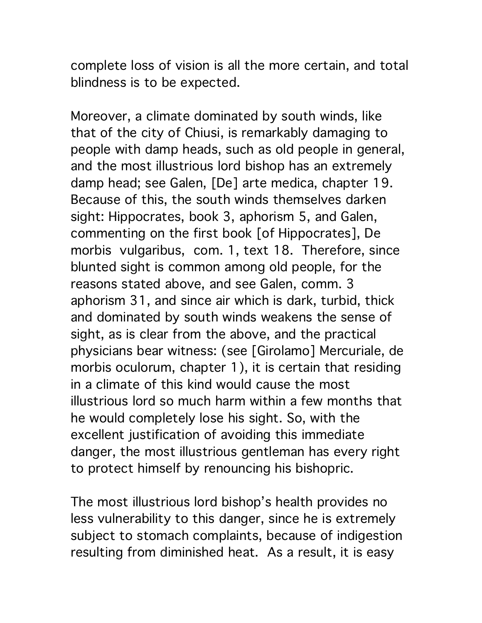complete loss of vision is all the more certain, and total blindness is to be expected.

Moreover, a climate dominated by south winds, like that of the city of Chiusi, is remarkably damaging to people with damp heads, such as old people in general, and the most illustrious lord bishop has an extremely damp head; see Galen, [De] arte medica, chapter 19. Because of this, the south winds themselves darken sight: Hippocrates, book 3, aphorism 5, and Galen, commenting on the first book [of Hippocrates], De morbis vulgaribus, com. 1, text 18. Therefore, since blunted sight is common among old people, for the reasons stated above, and see Galen, comm. 3 aphorism 31, and since air which is dark, turbid, thick and dominated by south winds weakens the sense of sight, as is clear from the above, and the practical physicians bear witness: (see [Girolamo] Mercuriale, de morbis oculorum, chapter 1), it is certain that residing in a climate of this kind would cause the most illustrious lord so much harm within a few months that he would completely lose his sight. So, with the excellent justification of avoiding this immediate danger, the most illustrious gentleman has every right to protect himself by renouncing his bishopric.

The most illustrious lord bishop's health provides no less vulnerability to this danger, since he is extremely subject to stomach complaints, because of indigestion resulting from diminished heat. As a result, it is easy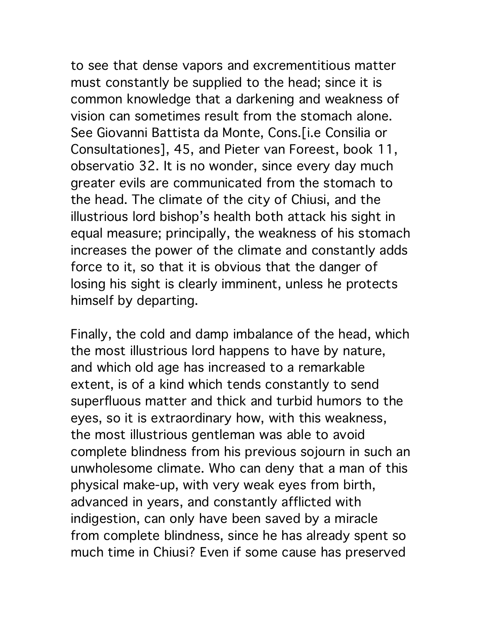to see that dense vapors and excrementitious matter must constantly be supplied to the head; since it is common knowledge that a darkening and weakness of vision can sometimes result from the stomach alone. See Giovanni Battista da Monte, Cons.[i.e Consilia or Consultationes], 45, and Pieter van Foreest, book 11, observatio 32. It is no wonder, since every day much greater evils are communicated from the stomach to the head. The climate of the city of Chiusi, and the illustrious lord bishop's health both attack his sight in equal measure; principally, the weakness of his stomach increases the power of the climate and constantly adds force to it, so that it is obvious that the danger of losing his sight is clearly imminent, unless he protects himself by departing.

Finally, the cold and damp imbalance of the head, which the most illustrious lord happens to have by nature, and which old age has increased to a remarkable extent, is of a kind which tends constantly to send superfluous matter and thick and turbid humors to the eyes, so it is extraordinary how, with this weakness, the most illustrious gentleman was able to avoid complete blindness from his previous sojourn in such an unwholesome climate. Who can deny that a man of this physical make-up, with very weak eyes from birth, advanced in years, and constantly afflicted with indigestion, can only have been saved by a miracle from complete blindness, since he has already spent so much time in Chiusi? Even if some cause has preserved